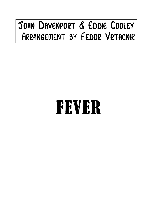## John Davenport & Eddie Cooley Arrangement by Fedor Vrtacnik

## FEVER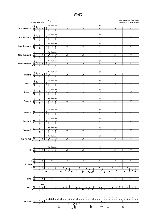